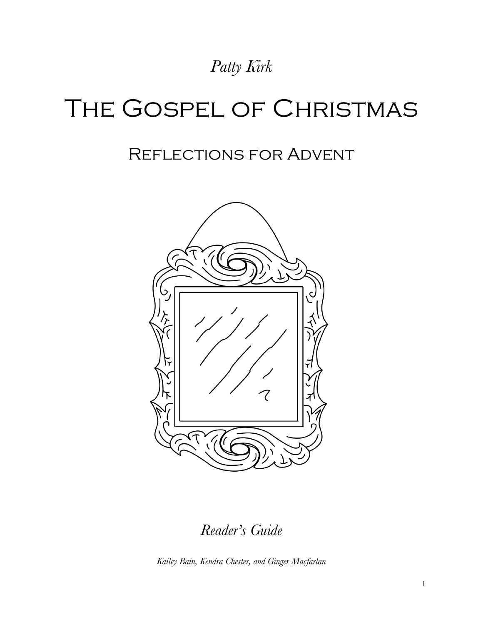# *Patty Kirk*

# The Gospel of Christmas

# Reflections for Advent



*Reader's Guide*

*Kailey Bain, Kendra Chester, and Ginger Macfarlan*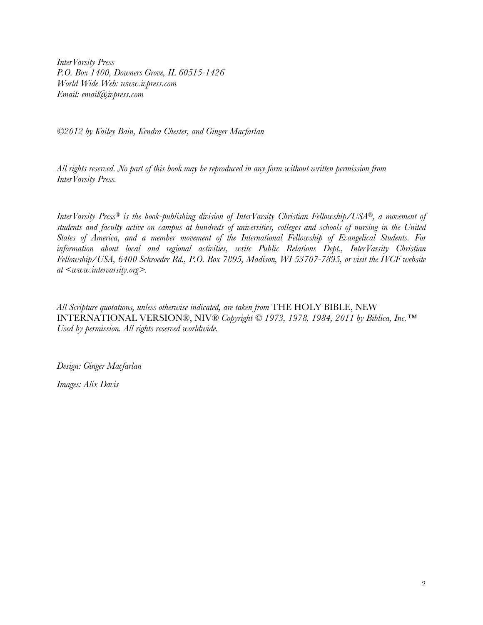*InterVarsity Press P.O. Box 1400, Downers Grove, IL 60515-1426 World Wide Web: www.ivpress.com Email: email@ivpress.com*

*©2012 by Kailey Bain, Kendra Chester, and Ginger Macfarlan*

*All rights reserved. No part of this book may be reproduced in any form without written permission from InterVarsity Press.*

*InterVarsity Press® is the book-publishing division of InterVarsity Christian Fellowship/USA®, a movement of students and faculty active on campus at hundreds of universities, colleges and schools of nursing in the United States of America, and a member movement of the International Fellowship of Evangelical Students. For information about local and regional activities, write Public Relations Dept., InterVarsity Christian Fellowship/USA, 6400 Schroeder Rd., P.O. Box 7895, Madison, WI 53707-7895, or visit the IVCF website at <www.intervarsity.org>.*

*All Scripture quotations, unless otherwise indicated, are taken from* THE HOLY BIBLE, NEW INTERNATIONAL VERSION®, NIV® *Copyright © 1973, 1978, 1984, 2011 by Biblica, Inc.™ Used by permission. All rights reserved worldwide.*

*Design: Ginger Macfarlan*

*Images: Alix Davis*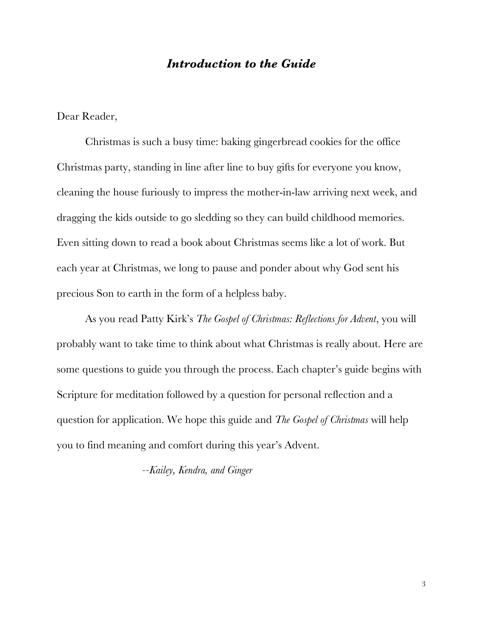#### *Introduction to the Guide*

Dear Reader,

Christmas is such a busy time: baking gingerbread cookies for the office Christmas party, standing in line after line to buy gifts for everyone you know, cleaning the house furiously to impress the mother-in-law arriving next week, and dragging the kids outside to go sledding so they can build childhood memories. Even sitting down to read a book about Christmas seems like a lot of work. But each year at Christmas, we long to pause and ponder about why God sent his precious Son to earth in the form of a helpless baby.

As you read Patty Kirk's *The Gospel of Christmas: Reflections for Advent*, you will probably want to take time to think about what Christmas is really about. Here are some questions to guide you through the process. Each chapter's guide begins with Scripture for meditation followed by a question for personal reflection and a question for application. We hope this guide and *The Gospel of Christmas* will help you to find meaning and comfort during this year's Advent.

*--Kailey, Kendra, and Ginger*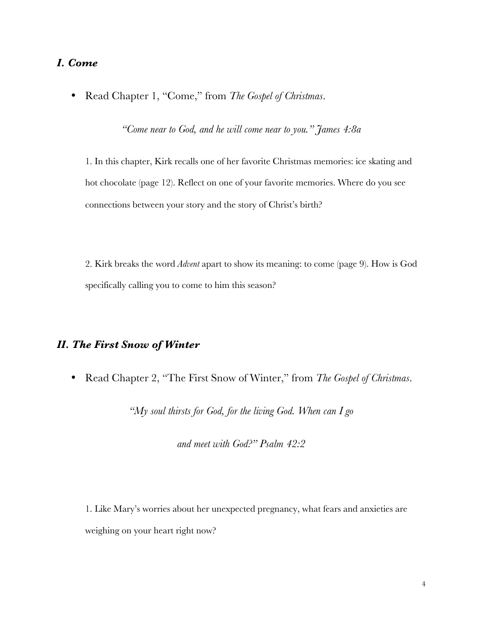# *I. Come*

• Read Chapter 1, "Come," from *The Gospel of Christmas*.

*"Come near to God, and he will come near to you." James 4:8a*

1. In this chapter, Kirk recalls one of her favorite Christmas memories: ice skating and hot chocolate (page 12). Reflect on one of your favorite memories. Where do you see connections between your story and the story of Christ's birth?

2. Kirk breaks the word *Advent* apart to show its meaning: to come (page 9). How is God specifically calling you to come to him this season?

# *II. The First Snow of Winter*

• Read Chapter 2, "The First Snow of Winter," from *The Gospel of Christmas*.

*"My soul thirsts for God, for the living God. When can I go* 

*and meet with God?" Psalm 42:2*

1. Like Mary's worries about her unexpected pregnancy, what fears and anxieties are weighing on your heart right now?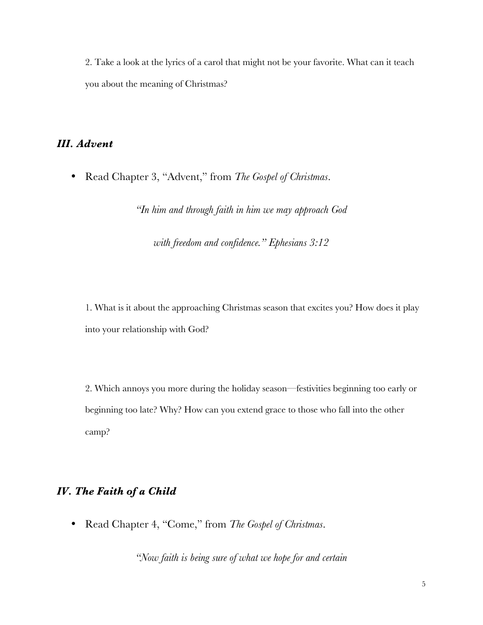2. Take a look at the lyrics of a carol that might not be your favorite. What can it teach you about the meaning of Christmas?

### *III. Advent*

• Read Chapter 3, "Advent," from *The Gospel of Christmas*.

*"In him and through faith in him we may approach God* 

*with freedom and confidence." Ephesians 3:12*

1. What is it about the approaching Christmas season that excites you? How does it play into your relationship with God?

2. Which annoys you more during the holiday season—festivities beginning too early or beginning too late? Why? How can you extend grace to those who fall into the other camp?

# *IV. The Faith of a Child*

• Read Chapter 4, "Come," from *The Gospel of Christmas*.

*"Now faith is being sure of what we hope for and certain*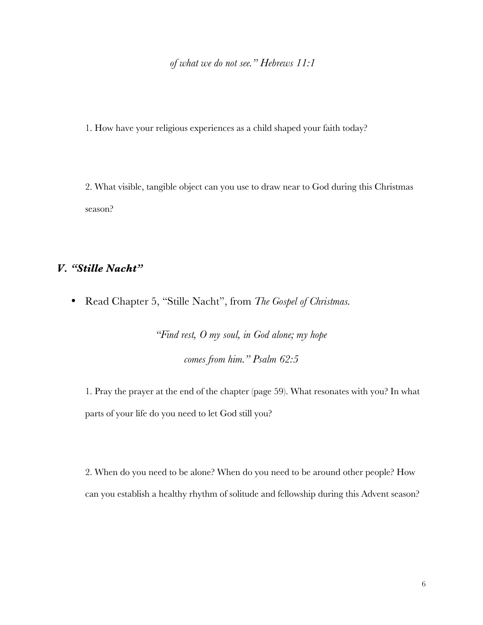*of what we do not see." Hebrews 11:1*

1. How have your religious experiences as a child shaped your faith today?

2. What visible, tangible object can you use to draw near to God during this Christmas season?

#### *V. "Stille Nacht"*

• Read Chapter 5, "Stille Nacht", from *The Gospel of Christmas.*

*"Find rest, O my soul, in God alone; my hope comes from him." Psalm 62:5*

1. Pray the prayer at the end of the chapter (page 59). What resonates with you? In what parts of your life do you need to let God still you?

2. When do you need to be alone? When do you need to be around other people? How can you establish a healthy rhythm of solitude and fellowship during this Advent season?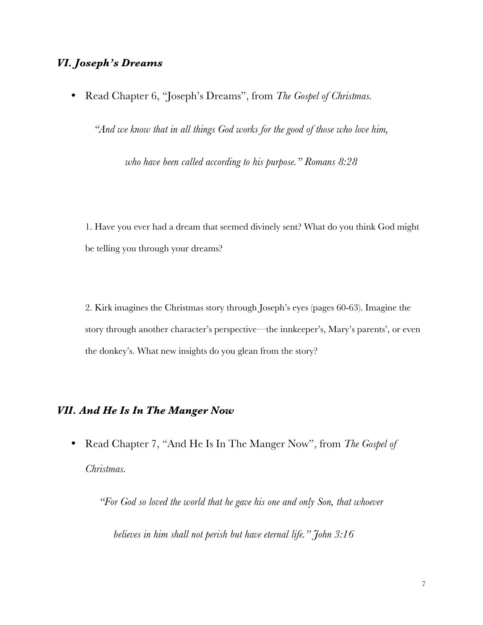# *VI. Joseph's Dreams*

• Read Chapter 6, "Joseph's Dreams", from *The Gospel of Christmas.*

*"And we know that in all things God works for the good of those who love him,* 

*who have been called according to his purpose." Romans 8:28*

1. Have you ever had a dream that seemed divinely sent? What do you think God might be telling you through your dreams?

2. Kirk imagines the Christmas story through Joseph's eyes (pages 60-63). Imagine the story through another character's perspective—the innkeeper's, Mary's parents', or even the donkey's. What new insights do you glean from the story?

# *VII. And He Is In The Manger Now*

• Read Chapter 7, "And He Is In The Manger Now", from *The Gospel of Christmas.*

*"For God so loved the world that he gave his one and only Son, that whoever* 

*believes in him shall not perish but have eternal life." John 3:16*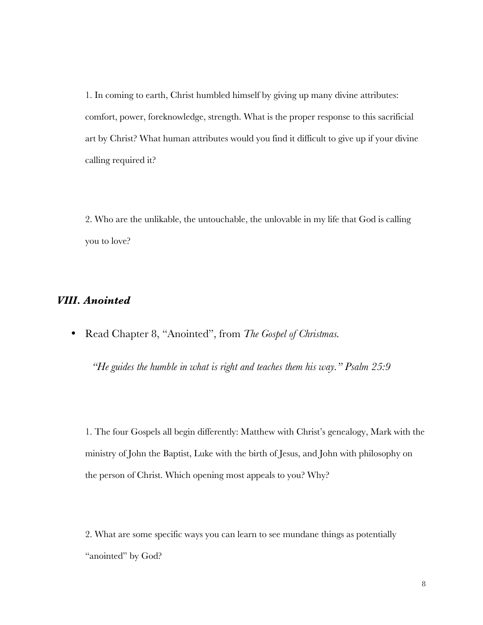1. In coming to earth, Christ humbled himself by giving up many divine attributes: comfort, power, foreknowledge, strength. What is the proper response to this sacrificial art by Christ? What human attributes would you find it difficult to give up if your divine calling required it?

2. Who are the unlikable, the untouchable, the unlovable in my life that God is calling you to love?

## *VIII. Anointed*

• Read Chapter 8, "Anointed", from *The Gospel of Christmas.*

*"He guides the humble in what is right and teaches them his way." Psalm 25:9*

1. The four Gospels all begin differently: Matthew with Christ's genealogy, Mark with the ministry of John the Baptist, Luke with the birth of Jesus, and John with philosophy on the person of Christ. Which opening most appeals to you? Why?

2. What are some specific ways you can learn to see mundane things as potentially "anointed" by God?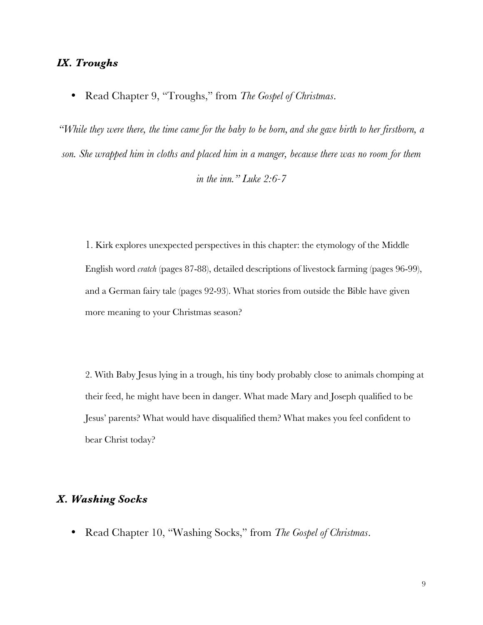#### *IX. Troughs*

• Read Chapter 9, "Troughs," from *The Gospel of Christmas*.

*"While they were there, the time came for the baby to be born, and she gave birth to her firstborn, a son. She wrapped him in cloths and placed him in a manger, because there was no room for them in the inn." Luke 2:6-7*

1. Kirk explores unexpected perspectives in this chapter: the etymology of the Middle English word *cratch* (pages 87-88), detailed descriptions of livestock farming (pages 96-99), and a German fairy tale (pages 92-93). What stories from outside the Bible have given more meaning to your Christmas season?

2. With Baby Jesus lying in a trough, his tiny body probably close to animals chomping at their feed, he might have been in danger. What made Mary and Joseph qualified to be Jesus' parents? What would have disqualified them? What makes you feel confident to bear Christ today?

#### *X. Washing Socks*

• Read Chapter 10, "Washing Socks," from *The Gospel of Christmas*.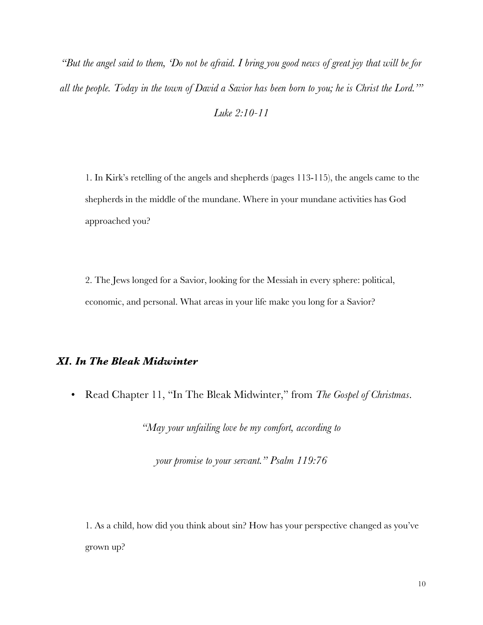*"But the angel said to them, 'Do not be afraid. I bring you good news of great joy that will be for all the people. Today in the town of David a Savior has been born to you; he is Christ the Lord.'"*

*Luke 2:10-11*

1. In Kirk's retelling of the angels and shepherds (pages 113-115), the angels came to the shepherds in the middle of the mundane. Where in your mundane activities has God approached you?

2. The Jews longed for a Savior, looking for the Messiah in every sphere: political, economic, and personal. What areas in your life make you long for a Savior?

# *XI. In The Bleak Midwinter*

• Read Chapter 11, "In The Bleak Midwinter," from *The Gospel of Christmas*.

*"May your unfailing love be my comfort, according to* 

*your promise to your servant." Psalm 119:76*

1. As a child, how did you think about sin? How has your perspective changed as you've grown up?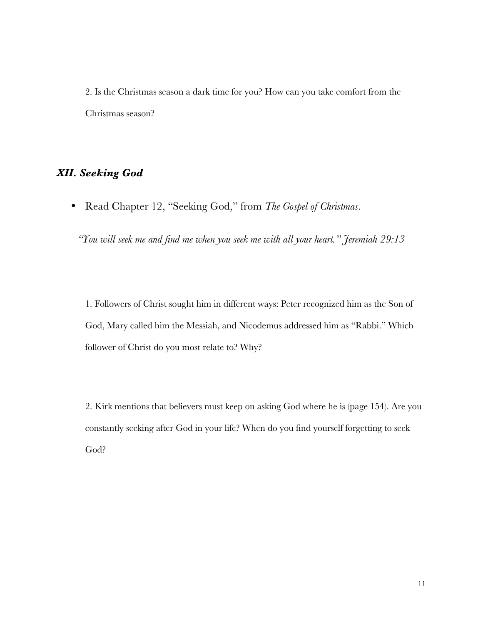2. Is the Christmas season a dark time for you? How can you take comfort from the Christmas season?

# *XII. Seeking God*

• Read Chapter 12, "Seeking God," from *The Gospel of Christmas*.

*"You will seek me and find me when you seek me with all your heart." Jeremiah 29:13*

1. Followers of Christ sought him in different ways: Peter recognized him as the Son of God, Mary called him the Messiah, and Nicodemus addressed him as "Rabbi." Which follower of Christ do you most relate to? Why?

2. Kirk mentions that believers must keep on asking God where he is (page 154). Are you constantly seeking after God in your life? When do you find yourself forgetting to seek God?